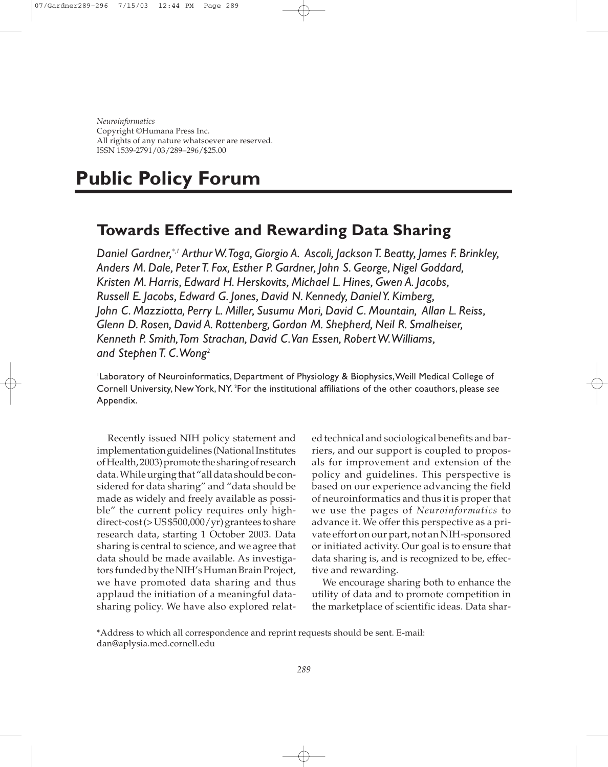*Neuroinformatics* Copyright ©Humana Press Inc. All rights of any nature whatsoever are reserved. ISSN 1539-2791/03/289–296/\$25.00

## **Public Policy Forum**

## **Towards Effective and Rewarding Data Sharing**

*Daniel Gardner,\*,1 Arthur W.Toga, Giorgio A. Ascoli, Jackson T. Beatty, James F. Brinkley, Anders M. Dale, Peter T. Fox, Esther P. Gardner, John S. George, Nigel Goddard, Kristen M. Harris, Edward H. Herskovits, Michael L. Hines, Gwen A. Jacobs, Russell E. Jacobs, Edward G. Jones, David N. Kennedy, Daniel Y. Kimberg, John C. Mazziotta, Perry L. Miller, Susumu Mori, David C. Mountain, Allan L. Reiss, Glenn D. Rosen, David A. Rottenberg, Gordon M. Shepherd, Neil R. Smalheiser, Kenneth P. Smith,Tom Strachan, David C.Van Essen, Robert W.Williams, and Stephen T. C.Wong2*

'Laboratory of Neuroinformatics, Department of Physiology & Biophysics, Weill Medical College of Cornell University, New York, NY. <sup>2</sup> For the institutional affiliations of the other coauthors, please *see* Appendix.

Recently issued NIH policy statement and implementation guidelines (National Institutes of Health, 2003) promote the sharing of research data. While urging that "all data should be considered for data sharing" and "data should be made as widely and freely available as possible" the current policy requires only highdirect-cost (> US \$500,000/yr) grantees to share research data, starting 1 October 2003. Data sharing is central to science, and we agree that data should be made available. As investigators funded by the NIH's Human Brain Project, we have promoted data sharing and thus applaud the initiation of a meaningful datasharing policy. We have also explored related technical and sociological benefits and barriers, and our support is coupled to proposals for improvement and extension of the policy and guidelines. This perspective is based on our experience advancing the field of neuroinformatics and thus it is proper that we use the pages of *Neuroinformatics* to advance it. We offer this perspective as a private effort on our part, not an NIH-sponsored or initiated activity. Our goal is to ensure that data sharing is, and is recognized to be, effective and rewarding.

We encourage sharing both to enhance the utility of data and to promote competition in the marketplace of scientific ideas. Data shar-

\*Address to which all correspondence and reprint requests should be sent. E-mail: dan@aplysia.med.cornell.edu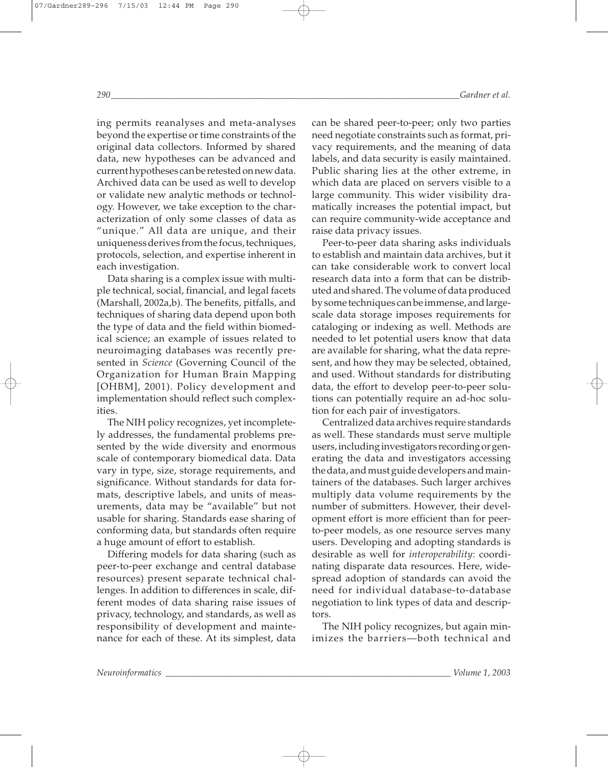beyond the expertise or time constraints of the original data collectors. Informed by shared data, new hypotheses can be advanced and current hypotheses can be retested on new data. Archived data can be used as well to develop or validate new analytic methods or technology. However, we take exception to the characterization of only some classes of data as "unique." All data are unique, and their uniqueness derives from the focus, techniques, protocols, selection, and expertise inherent in each investigation. Data sharing is a complex issue with multi-

ing permits reanalyses and meta-analyses

ple technical, social, financial, and legal facets (Marshall, 2002a,b). The benefits, pitfalls, and techniques of sharing data depend upon both the type of data and the field within biomedical science; an example of issues related to neuroimaging databases was recently presented in *Science* (Governing Council of the Organization for Human Brain Mapping [OHBM], 2001). Policy development and implementation should reflect such complexities.

The NIH policy recognizes, yet incompletely addresses, the fundamental problems presented by the wide diversity and enormous scale of contemporary biomedical data. Data vary in type, size, storage requirements, and significance. Without standards for data formats, descriptive labels, and units of measurements, data may be "available" but not usable for sharing. Standards ease sharing of conforming data, but standards often require a huge amount of effort to establish.

Differing models for data sharing (such as peer-to-peer exchange and central database resources) present separate technical challenges. In addition to differences in scale, different modes of data sharing raise issues of privacy, technology, and standards, as well as responsibility of development and maintenance for each of these. At its simplest, data

can be shared peer-to-peer; only two parties need negotiate constraints such as format, privacy requirements, and the meaning of data labels, and data security is easily maintained. Public sharing lies at the other extreme, in which data are placed on servers visible to a large community. This wider visibility dramatically increases the potential impact, but can require community-wide acceptance and raise data privacy issues.

Peer-to-peer data sharing asks individuals to establish and maintain data archives, but it can take considerable work to convert local research data into a form that can be distributed and shared. The volume of data produced by some techniques can be immense, and largescale data storage imposes requirements for cataloging or indexing as well. Methods are needed to let potential users know that data are available for sharing, what the data represent, and how they may be selected, obtained, and used. Without standards for distributing data, the effort to develop peer-to-peer solutions can potentially require an ad-hoc solution for each pair of investigators.

Centralized data archives require standards as well. These standards must serve multiple users, including investigators recording or generating the data and investigators accessing the data, and must guide developers and maintainers of the databases. Such larger archives multiply data volume requirements by the number of submitters. However, their development effort is more efficient than for peerto-peer models, as one resource serves many users. Developing and adopting standards is desirable as well for *interoperability*: coordinating disparate data resources. Here, widespread adoption of standards can avoid the need for individual database-to-database negotiation to link types of data and descriptors.

The NIH policy recognizes, but again minimizes the barriers—both technical and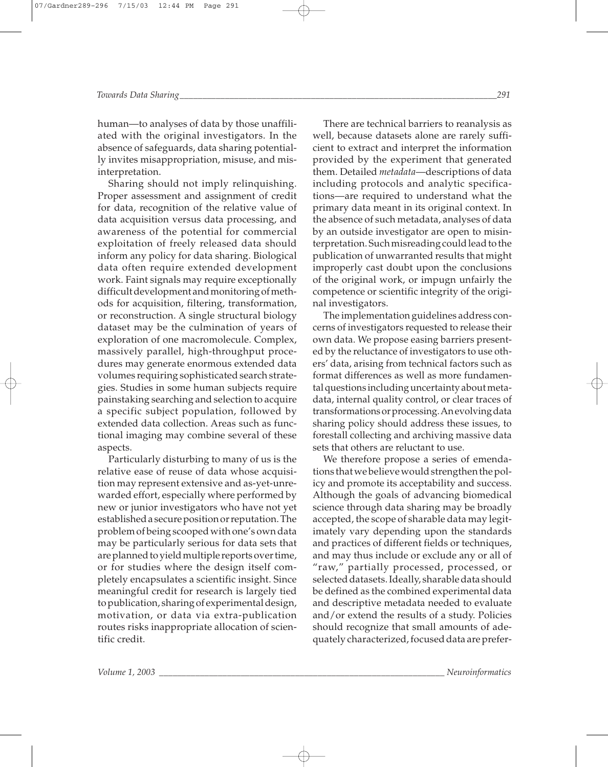human—to analyses of data by those unaffiliated with the original investigators. In the absence of safeguards, data sharing potentially invites misappropriation, misuse, and misinterpretation.

Sharing should not imply relinquishing. Proper assessment and assignment of credit for data, recognition of the relative value of data acquisition versus data processing, and awareness of the potential for commercial exploitation of freely released data should inform any policy for data sharing. Biological data often require extended development work. Faint signals may require exceptionally difficult development and monitoring of methods for acquisition, filtering, transformation, or reconstruction. A single structural biology dataset may be the culmination of years of exploration of one macromolecule. Complex, massively parallel, high-throughput procedures may generate enormous extended data volumes requiring sophisticated search strategies. Studies in some human subjects require painstaking searching and selection to acquire a specific subject population, followed by extended data collection. Areas such as functional imaging may combine several of these aspects.

Particularly disturbing to many of us is the relative ease of reuse of data whose acquisition may represent extensive and as-yet-unrewarded effort, especially where performed by new or junior investigators who have not yet established a secure position or reputation. The problem of being scooped with one's own data may be particularly serious for data sets that are planned to yield multiple reports over time, or for studies where the design itself completely encapsulates a scientific insight. Since meaningful credit for research is largely tied to publication, sharing of experimental design, motivation, or data via extra-publication routes risks inappropriate allocation of scientific credit.

There are technical barriers to reanalysis as well, because datasets alone are rarely sufficient to extract and interpret the information provided by the experiment that generated them. Detailed *metadata*—descriptions of data including protocols and analytic specifications—are required to understand what the primary data meant in its original context. In the absence of such metadata, analyses of data by an outside investigator are open to misinterpretation. Such misreading could lead to the publication of unwarranted results that might improperly cast doubt upon the conclusions of the original work, or impugn unfairly the competence or scientific integrity of the original investigators.

The implementation guidelines address concerns of investigators requested to release their own data. We propose easing barriers presented by the reluctance of investigators to use others' data, arising from technical factors such as format differences as well as more fundamental questions including uncertainty about metadata, internal quality control, or clear traces of transformations or processing. An evolving data sharing policy should address these issues, to forestall collecting and archiving massive data sets that others are reluctant to use.

We therefore propose a series of emendations that we believe would strengthen the policy and promote its acceptability and success. Although the goals of advancing biomedical science through data sharing may be broadly accepted, the scope of sharable data may legitimately vary depending upon the standards and practices of different fields or techniques, and may thus include or exclude any or all of "raw," partially processed, processed, or selected datasets. Ideally, sharable data should be defined as the combined experimental data and descriptive metadata needed to evaluate and/or extend the results of a study. Policies should recognize that small amounts of adequately characterized, focused data are prefer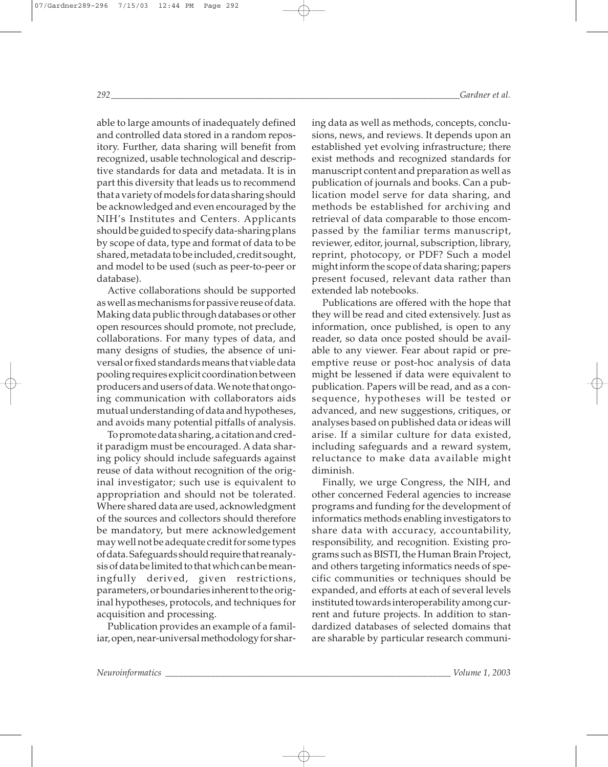able to large amounts of inadequately defined and controlled data stored in a random repository. Further, data sharing will benefit from recognized, usable technological and descriptive standards for data and metadata. It is in part this diversity that leads us to recommend that a variety of models for data sharing should be acknowledged and even encouraged by the NIH's Institutes and Centers. Applicants should be guided to specify data-sharing plans by scope of data, type and format of data to be shared, metadata to be included, credit sought, and model to be used (such as peer-to-peer or database).

Active collaborations should be supported as well as mechanisms for passive reuse of data. Making data public through databases or other open resources should promote, not preclude, collaborations. For many types of data, and many designs of studies, the absence of universal or fixed standards means that viable data pooling requires explicit coordination between producers and users of data. We note that ongoing communication with collaborators aids mutual understanding of data and hypotheses, and avoids many potential pitfalls of analysis.

Topromote data sharing, a citation and credit paradigm must be encouraged. A data sharing policy should include safeguards against reuse of data without recognition of the original investigator; such use is equivalent to appropriation and should not be tolerated. Where shared data are used, acknowledgment of the sources and collectors should therefore be mandatory, but mere acknowledgement may well not be adequate credit for some types of data. Safeguards should require that reanalysis of data be limited to that which can be meaningfully derived, given restrictions, parameters, or boundaries inherent to the original hypotheses, protocols, and techniques for acquisition and processing.

Publication provides an example of a familiar, open, near-universal methodology for sharing data as well as methods, concepts, conclusions, news, and reviews. It depends upon an established yet evolving infrastructure; there exist methods and recognized standards for manuscript content and preparation as well as publication of journals and books. Can a publication model serve for data sharing, and methods be established for archiving and retrieval of data comparable to those encompassed by the familiar terms manuscript, reviewer, editor, journal, subscription, library, reprint, photocopy, or PDF? Such a model might inform the scope of data sharing; papers present focused, relevant data rather than extended lab notebooks.

Publications are offered with the hope that they will be read and cited extensively. Just as information, once published, is open to any reader, so data once posted should be available to any viewer. Fear about rapid or preemptive reuse or post-hoc analysis of data might be lessened if data were equivalent to publication. Papers will be read, and as a consequence, hypotheses will be tested or advanced, and new suggestions, critiques, or analyses based on published data or ideas will arise. If a similar culture for data existed, including safeguards and a reward system, reluctance to make data available might diminish.

Finally, we urge Congress, the NIH, and other concerned Federal agencies to increase programs and funding for the development of informatics methods enabling investigators to share data with accuracy, accountability, responsibility, and recognition. Existing programs such as BISTI, the Human Brain Project, and others targeting informatics needs of specific communities or techniques should be expanded, and efforts at each of several levels instituted towards interoperability among current and future projects. In addition to standardized databases of selected domains that are sharable by particular research communi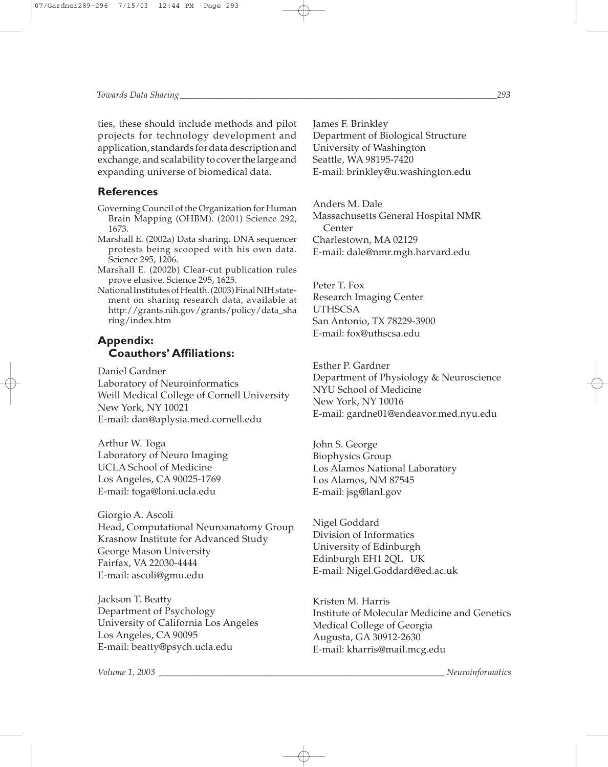ties, these should include methods and pilot projects for technology development and application, standards for data description and exchange, and scalability to cover the large and expanding universe of biomedical data.

## **References**

Governing Council of the Organization for Human Brain Mapping (OHBM). (2001) Science 292, 1673.

- Marshall E. (2002a) Data sharing. DNA sequencer protests being scooped with his own data. Science 295, 1206.
- Marshall E. (2002b) Clear-cut publication rules prove elusive. Science 295, 1625.
- National Institutes of Health. (2003) Final NIH statement on sharing research data, available at http://grants.nih.gov/grants/policy/data\_sha ring/index.htm

## **Appendix: Coauthors' Affiliations:**

Daniel Gardner Laboratory of Neuroinformatics Weill Medical College of Cornell University New York, NY 10021 E-mail: dan@aplysia.med.cornell.edu

Arthur W. Toga Laboratory of Neuro Imaging UCLA School of Medicine Los Angeles, CA 90025-1769 E-mail: toga@loni.ucla.edu

Giorgio A. Ascoli Head, Computational Neuroanatomy Group Krasnow Institute for Advanced Study George Mason University Fairfax, VA 22030-4444 E-mail: ascoli@gmu.edu

Jackson T. Beatty Department of Psychology University of California Los Angeles Los Angeles, CA 90095 E-mail: beatty@psych.ucla.edu

James F. Brinkley Department of Biological Structure University of Washington Seattle, WA 98195-7420 E-mail: brinkley@u.washington.edu

Anders M. Dale Massachusetts General Hospital NMR Center Charlestown, MA 02129 E-mail: dale@nmr.mgh.harvard.edu

Peter T. Fox Research Imaging Center **UTHSCSA** San Antonio, TX 78229-3900 E-mail: fox@uthscsa.edu

Esther P. Gardner Department of Physiology & Neuroscience NYU School of Medicine New York, NY 10016 E-mail: gardne01@endeavor.med.nyu.edu

John S. George Biophysics Group Los Alamos National Laboratory Los Alamos, NM 87545 E-mail: jsg@lanl.gov

Nigel Goddard Division of Informatics University of Edinburgh Edinburgh EH1 2QL UK E-mail: Nigel.Goddard@ed.ac.uk

Kristen M. Harris Institute of Molecular Medicine and Genetics Medical College of Georgia Augusta, GA 30912-2630 E-mail: kharris@mail.mcg.edu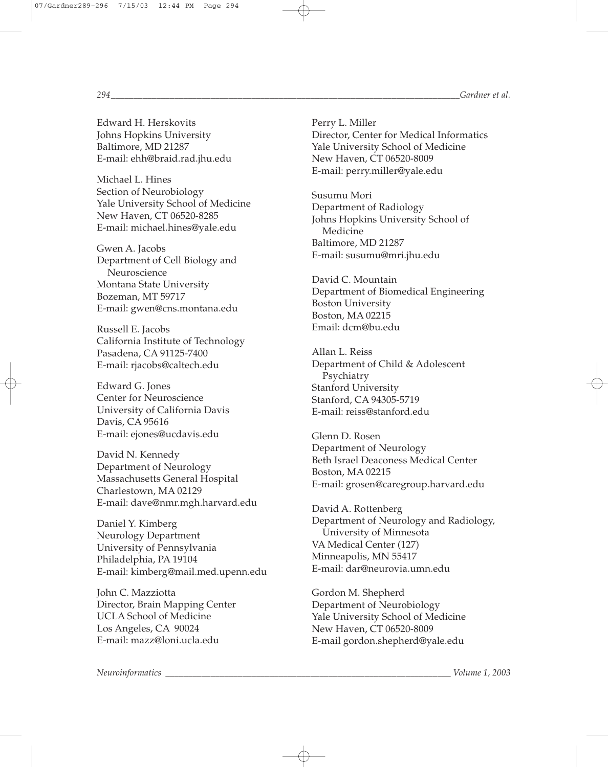Edward H. Herskovits Johns Hopkins University Baltimore, MD 21287 E-mail: ehh@braid.rad.jhu.edu

Michael L. Hines Section of Neurobiology Yale University School of Medicine New Haven, CT 06520-8285 E-mail: michael.hines@yale.edu

Gwen A. Jacobs Department of Cell Biology and Neuroscience Montana State University Bozeman, MT 59717 E-mail: gwen@cns.montana.edu

Russell E. Jacobs California Institute of Technology Pasadena, CA 91125-7400 E-mail: rjacobs@caltech.edu

Edward G. Jones Center for Neuroscience University of California Davis Davis, CA 95616 E-mail: ejones@ucdavis.edu

David N. Kennedy Department of Neurology Massachusetts General Hospital Charlestown, MA 02129 E-mail: dave@nmr.mgh.harvard.edu

Daniel Y. Kimberg Neurology Department University of Pennsylvania Philadelphia, PA 19104 E-mail: kimberg@mail.med.upenn.edu

John C. Mazziotta Director, Brain Mapping Center UCLA School of Medicine Los Angeles, CA 90024 E-mail: mazz@loni.ucla.edu

Perry L. Miller Director, Center for Medical Informatics Yale University School of Medicine New Haven, CT 06520-8009 E-mail: perry.miller@yale.edu

Susumu Mori Department of Radiology Johns Hopkins University School of Medicine Baltimore, MD 21287 E-mail: susumu@mri.jhu.edu

David C. Mountain Department of Biomedical Engineering Boston University Boston, MA 02215 Email: dcm@bu.edu

Allan L. Reiss Department of Child & Adolescent Psychiatry Stanford University Stanford, CA 94305-5719 E-mail: reiss@stanford.edu

Glenn D. Rosen Department of Neurology Beth Israel Deaconess Medical Center Boston, MA 02215 E-mail: grosen@caregroup.harvard.edu

David A. Rottenberg Department of Neurology and Radiology, University of Minnesota VA Medical Center (127) Minneapolis, MN 55417 E-mail: dar@neurovia.umn.edu

Gordon M. Shepherd Department of Neurobiology Yale University School of Medicine New Haven, CT 06520-8009 E-mail gordon.shepherd@yale.edu